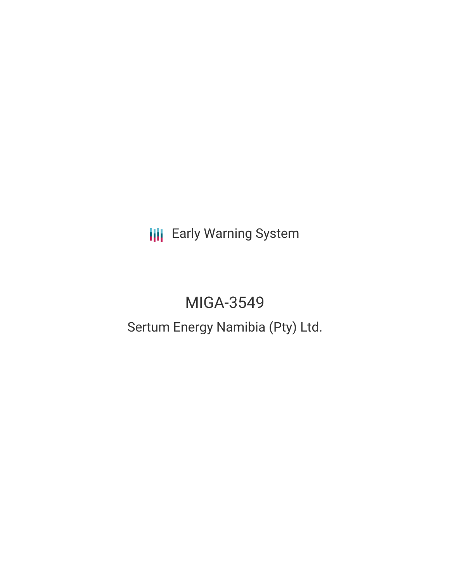**III** Early Warning System

# MIGA-3549

Sertum Energy Namibia (Pty) Ltd.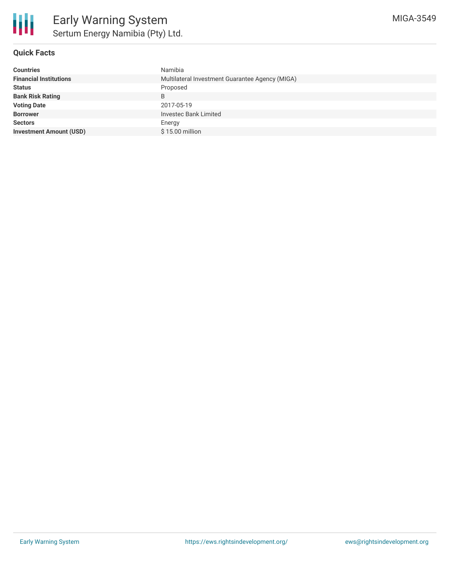

# **Quick Facts**

| <b>Countries</b>               | Namibia                                         |
|--------------------------------|-------------------------------------------------|
| <b>Financial Institutions</b>  | Multilateral Investment Guarantee Agency (MIGA) |
| <b>Status</b>                  | Proposed                                        |
| <b>Bank Risk Rating</b>        | B                                               |
| <b>Voting Date</b>             | 2017-05-19                                      |
| <b>Borrower</b>                | <b>Investec Bank Limited</b>                    |
| <b>Sectors</b>                 | Energy                                          |
| <b>Investment Amount (USD)</b> | \$15.00 million                                 |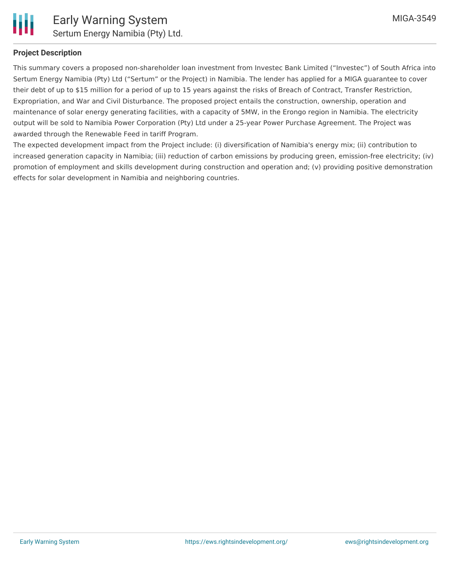

## **Project Description**

This summary covers a proposed non-shareholder loan investment from Investec Bank Limited ("Investec") of South Africa into Sertum Energy Namibia (Pty) Ltd ("Sertum" or the Project) in Namibia. The lender has applied for a MIGA guarantee to cover their debt of up to \$15 million for a period of up to 15 years against the risks of Breach of Contract, Transfer Restriction, Expropriation, and War and Civil Disturbance. The proposed project entails the construction, ownership, operation and maintenance of solar energy generating facilities, with a capacity of 5MW, in the Erongo region in Namibia. The electricity output will be sold to Namibia Power Corporation (Pty) Ltd under a 25-year Power Purchase Agreement. The Project was awarded through the Renewable Feed in tariff Program.

The expected development impact from the Project include: (i) diversification of Namibia's energy mix; (ii) contribution to increased generation capacity in Namibia; (iii) reduction of carbon emissions by producing green, emission-free electricity; (iv) promotion of employment and skills development during construction and operation and; (v) providing positive demonstration effects for solar development in Namibia and neighboring countries.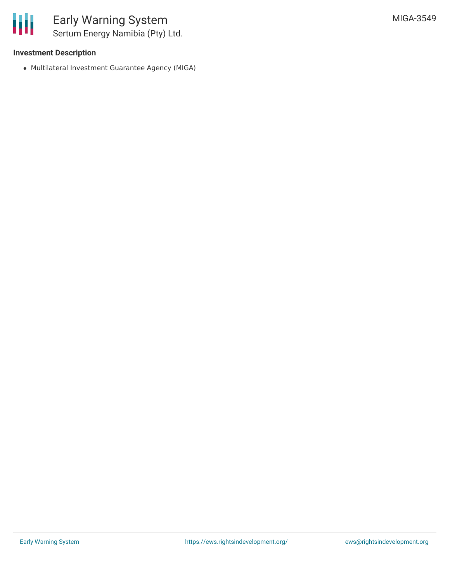### **Investment Description**

Multilateral Investment Guarantee Agency (MIGA)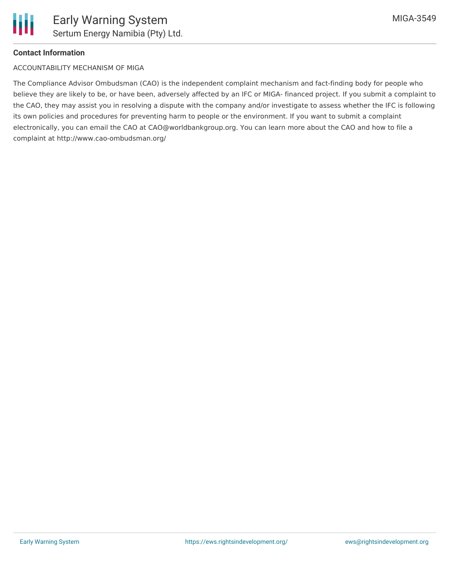

#### **Contact Information**

#### ACCOUNTABILITY MECHANISM OF MIGA

The Compliance Advisor Ombudsman (CAO) is the independent complaint mechanism and fact-finding body for people who believe they are likely to be, or have been, adversely affected by an IFC or MIGA- financed project. If you submit a complaint to the CAO, they may assist you in resolving a dispute with the company and/or investigate to assess whether the IFC is following its own policies and procedures for preventing harm to people or the environment. If you want to submit a complaint electronically, you can email the CAO at CAO@worldbankgroup.org. You can learn more about the CAO and how to file a complaint at http://www.cao-ombudsman.org/